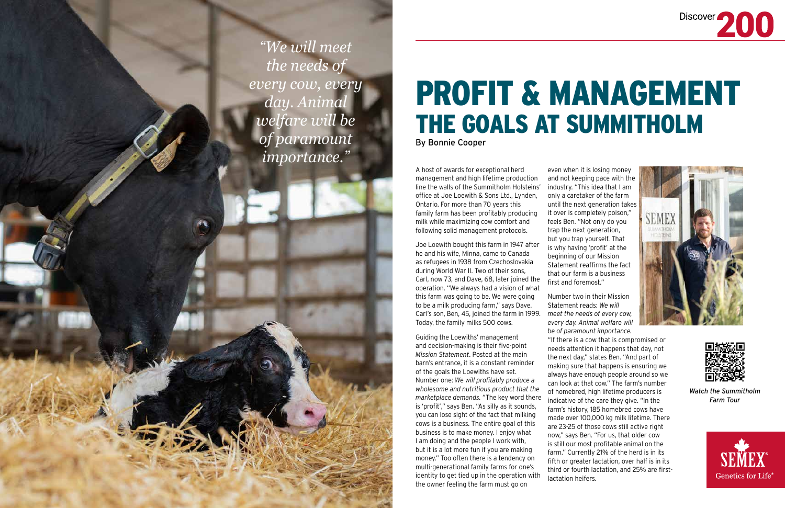## PROFIT & MANAGEMENT THE GOALS AT SUMMITHOLM By Bonnie Cooper

A host of awards for exceptional herd management and high lifetime production line the walls of the Summitholm Holsteins' office at Joe Loewith & Sons Ltd., Lynden, Ontario. For more than 70 years this family farm has been profitably producing milk while maximizing cow comfort and following solid management protocols.

Joe Loewith bought this farm in 1947 after he and his wife, Minna, came to Canada as refugees in 1938 from Czechoslovakia during World War II. Two of their sons, Carl, now 73, and Dave, 68, later joined the operation. "We always had a vision of what this farm was going to be. We were going to be a milk producing farm," says Dave. Carl's son, Ben, 45, joined the farm in 1999. Today, the family milks 500 cows.

Guiding the Loewiths' management and decision-making is their five-point *Mission Statement*. Posted at the main barn's entrance, it is a constant reminder of the goals the Loewiths have set. Number one: *We will profitably produce a wholesome and nutritious product that the marketplace demands.* "The key word there is 'profit'," says Ben. "As silly as it sounds, you can lose sight of the fact that milking cows is a business. The entire goal of this business is to make money. I enjoy what I am doing and the people I work with, but it is a lot more fun if you are making money." Too often there is a tendency on multi-generational family farms for one's identity to get tied up in the operation with the owner feeling the farm must go on

even when it is losing money and not keeping pace with the industry. "This idea that I am only a caretaker of the farm until the next generation takes it over is completely poison," feels Ben. "Not only do you trap the next generation, but you trap yourself. That is why having 'profit' at the beginning of our Mission Statement reaffirms the fact that our farm is a business first and foremost."

Number two in their Mission Statement reads: *We will meet the needs of every cow, every day. Animal welfare will be of paramount importance.* 

"If there is a cow that is compromised or needs attention it happens that day, not the next day," states Ben. "And part of making sure that happens is ensuring we always have enough people around so we can look at that cow." The farm's number of homebred, high lifetime producers is indicative of the care they give. "In the farm's history, 185 homebred cows have made over 100,000 kg milk lifetime. There are 23-25 of those cows still active right now," says Ben. "For us, that older cow is still our most profitable animal on the farm." Currently 21% of the herd is in its fifth or greater lactation, over half is in its third or fourth lactation, and 25% are first-





lactation heifers.



*"We will meet the needs of every cow, every day. Animal welfare will be of paramount importance."* 

> *Watch the Summitholm Farm Tour*

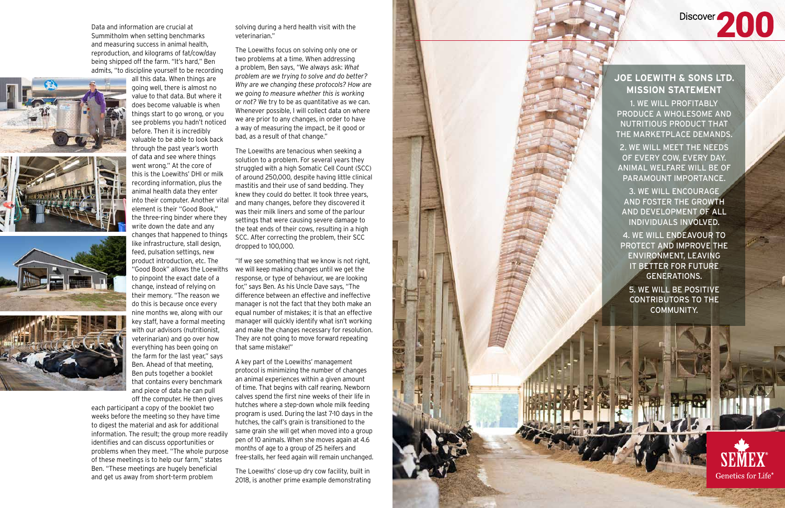Data and information are crucial at Summitholm when setting benchmarks and measuring success in animal health, reproduction, and kilograms of fat/cow/day being shipped off the farm. "It's hard," Ben admits, "to discipline yourself to be recording







all this data. When things are

going well, there is almost no value to that data. But where it does become valuable is when things start to go wrong, or you see problems you hadn't noticed before. Then it is incredibly valuable to be able to look back through the past year's worth of data and see where things went wrong." At the core of this is the Loewiths' DHI or milk recording information, plus the animal health data they enter into their computer. Another vital element is their "Good Book," the three-ring binder where they write down the date and any changes that happened to things like infrastructure, stall design, feed, pulsation settings, new product introduction, etc. The "Good Book" allows the Loewiths to pinpoint the exact date of a change, instead of relying on their memory. "The reason we do this is because once every nine months we, along with our key staff, have a formal meeting with our advisors (nutritionist, veterinarian) and go over how everything has been going on the farm for the last year," says Ben. Ahead of that meeting, Ben puts together a booklet that contains every benchmark and piece of data he can pull off the computer. He then gives

each participant a copy of the booklet two weeks before the meeting so they have time to digest the material and ask for additional information. The result; the group more readily identifies and can discuss opportunities or problems when they meet. "The whole purpose of these meetings is to help our farm," states Ben. "These meetings are hugely beneficial and get us away from short-term problem

solving during a herd health visit with the veterinarian."

The Loewiths focus on solving only one or two problems at a time. When addressing a problem, Ben says, "We always ask: *What problem are we trying to solve and do better? Why are we changing these protocols? How are we going to measure whether this is working or not?* We try to be as quantitative as we can. Whenever possible, I will collect data on where we are prior to any changes, in order to have a way of measuring the impact, be it good or bad, as a result of that change."

The Loewiths are tenacious when seeking a solution to a problem. For several years they struggled with a high Somatic Cell Count (SCC) of around 250,000, despite having little clinical mastitis and their use of sand bedding. They knew they could do better. It took three years, and many changes, before they discovered it was their milk liners and some of the parlour settings that were causing severe damage to the teat ends of their cows, resulting in a high SCC. After correcting the problem, their SCC dropped to 100,000.

"If we see something that we know is not right, we will keep making changes until we get the response, or type of behaviour, we are looking for," says Ben. As his Uncle Dave says, "The difference between an effective and ineffective manager is not the fact that they both make an equal number of mistakes; it is that an effective manager will quickly identify what isn't working and make the changes necessary for resolution. They are not going to move forward repeating that same mistake!"

A key part of the Loewiths' management protocol is minimizing the number of changes an animal experiences within a given amount of time. That begins with calf rearing. Newborn calves spend the first nine weeks of their life in hutches where a step-down whole milk feeding program is used. During the last 7-10 days in the hutches, the calf's grain is transitioned to the same grain she will get when moved into a group pen of 10 animals. When she moves again at 4.6 months of age to a group of 25 heifers and free-stalls, her feed again will remain unchanged.

The Loewiths' close-up dry cow facility, built in 2018, is another prime example demonstrating



## **JOE LOEWITH & SONS LTD. MISSION STATEMENT**

Discover 200

1. WE WILL PROFITABLY PRODUCE A WHOLESOME AND NUTRITIOUS PRODUCT THAT THE MARKETPLACE DEMANDS.

2. WE WILL MEET THE NEEDS OF EVERY COW, EVERY DAY. ANIMAL WELFARE WILL BE OF PARAMOUNT IMPORTANCE.

3. WE WILL ENCOURAGE AND FOSTER THE GROWTH AND DEVELOPMENT OF ALL INDIVIDUALS INVOLVED.

4. WE WILL ENDEAVOUR TO PROTECT AND IMPROVE THE ENVIRONMENT, LEAVING IT BETTER FOR FUTURE GENERATIONS. 5. WE WILL BE POSITIVE CONTRIBUTORS TO THE COMMUNITY.